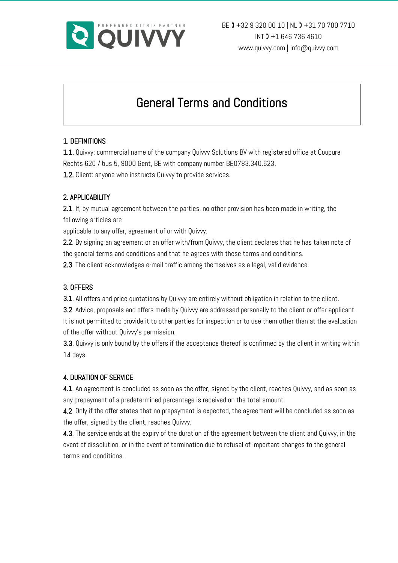

# General Terms and Conditions

# 1. DEFINITIONS

1.1. Quivvy: commercial name of the company Quivvy Solutions BV with registered office at Coupure Rechts 620 / bus 5, 9000 Gent, BE with company number BE0783.340.623.

1.2. Client: anyone who instructs Quivvy to provide services.

## 2. APPLICABILITY

2.1. If, by mutual agreement between the parties, no other provision has been made in writing, the following articles are

applicable to any offer, agreement of or with Quivvy.

2.2. By signing an agreement or an offer with/from Quivvy, the client declares that he has taken note of the general terms and conditions and that he agrees with these terms and conditions.

2.3. The client acknowledges e-mail traffic among themselves as a legal, valid evidence.

#### 3. OFFERS

3.1. All offers and price quotations by Quivvy are entirely without obligation in relation to the client.

3.2. Advice, proposals and offers made by Quivvy are addressed personally to the client or offer applicant. It is not permitted to provide it to other parties for inspection or to use them other than at the evaluation of the offer without Quivvy's permission.

3.3. Quivvy is only bound by the offers if the acceptance thereof is confirmed by the client in writing within 14 days.

# 4. DURATION OF SERVICE

4.1. An agreement is concluded as soon as the offer, signed by the client, reaches Quivvy, and as soon as any prepayment of a predetermined percentage is received on the total amount.

4.2. Only if the offer states that no prepayment is expected, the agreement will be concluded as soon as the offer, signed by the client, reaches Quivvy.

4.3. The service ends at the expiry of the duration of the agreement between the client and Quivvy, in the event of dissolution, or in the event of termination due to refusal of important changes to the general terms and conditions.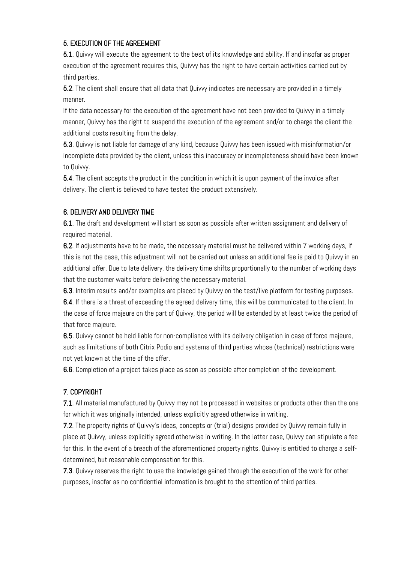## 5. EXECUTION OF THE AGREEMENT

5.1. Quivvy will execute the agreement to the best of its knowledge and ability. If and insofar as proper execution of the agreement requires this, Quivvy has the right to have certain activities carried out by third parties.

5.2. The client shall ensure that all data that Quivvy indicates are necessary are provided in a timely manner.

If the data necessary for the execution of the agreement have not been provided to Quivvy in a timely manner, Quivvy has the right to suspend the execution of the agreement and/or to charge the client the additional costs resulting from the delay.

5.3. Quivvy is not liable for damage of any kind, because Quivvy has been issued with misinformation/or incomplete data provided by the client, unless this inaccuracy or incompleteness should have been known to Quivvy.

5.4. The client accepts the product in the condition in which it is upon payment of the invoice after delivery. The client is believed to have tested the product extensively.

## 6. DELIVERY AND DELIVERY TIME

6.1. The draft and development will start as soon as possible after written assignment and delivery of required material.

6.2. If adjustments have to be made, the necessary material must be delivered within 7 working days, if this is not the case, this adjustment will not be carried out unless an additional fee is paid to Quivvy in an additional offer. Due to late delivery, the delivery time shifts proportionally to the number of working days that the customer waits before delivering the necessary material.

6.3. Interim results and/or examples are placed by Quivvy on the test/live platform for testing purposes.

6.4. If there is a threat of exceeding the agreed delivery time, this will be communicated to the client. In the case of force majeure on the part of Quivvy, the period will be extended by at least twice the period of that force majeure.

6.5. Quivvy cannot be held liable for non-compliance with its delivery obligation in case of force majeure, such as limitations of both Citrix Podio and systems of third parties whose (technical) restrictions were not yet known at the time of the offer.

6.6. Completion of a project takes place as soon as possible after completion of the development.

# 7. COPYRIGHT

7.1. All material manufactured by Quivvy may not be processed in websites or products other than the one for which it was originally intended, unless explicitly agreed otherwise in writing.

7.2. The property rights of Quivvy's ideas, concepts or (trial) designs provided by Quivvy remain fully in place at Quivvy, unless explicitly agreed otherwise in writing. In the latter case, Quivvy can stipulate a fee for this. In the event of a breach of the aforementioned property rights, Quivvy is entitled to charge a selfdetermined, but reasonable compensation for this.

7.3. Quivvy reserves the right to use the knowledge gained through the execution of the work for other purposes, insofar as no confidential information is brought to the attention of third parties.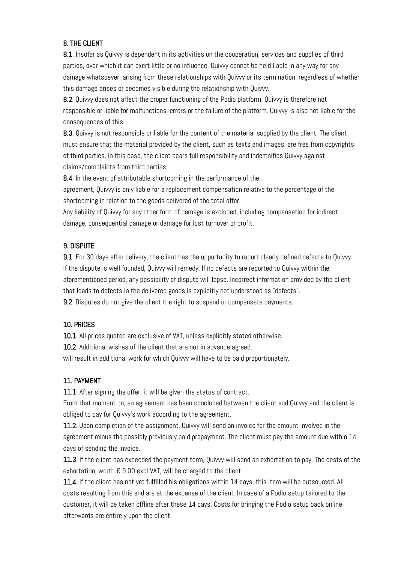## 8. THE CLIENT

8.1. Insofar as Quivvy is dependent in its activities on the cooperation, services and supplies of third parties, over which it can exert little or no influence, Quivvy cannot be held liable in any way for any damage whatsoever, arising from these relationships with Quivvy or its termination, regardless of whether this damage arises or becomes visible during the relationship with Quivvy.

8.2. Quivvy does not affect the proper functioning of the Podio platform. Quivvy is therefore not responsible or liable for malfunctions, errors or the failure of the platform. Quivvy is also not liable for the consequences of this.

8.3. Quivvy is not responsible or liable for the content of the material supplied by the client. The client must ensure that the material provided by the client, such as texts and images, are free from copyrights of third parties. In this case, the client bears full responsibility and indemnifies Quivvy against claims/complaints from third parties.

8.4. In the event of attributable shortcoming in the performance of the

agreement, Quivvy is only liable for a replacement compensation relative to the percentage of the shortcoming in relation to the goods delivered of the total offer.

Any liability of Quivvy for any other form of damage is excluded, including compensation for indirect damage, consequential damage or damage for lost turnover or profit.

#### 9. DISPUTE

9.1. For 30 days after delivery, the client has the opportunity to report clearly defined defects to Quivvy. If the dispute is well founded, Quivvy will remedy. If no defects are reported to Quivvy within the aforementioned period, any possibility of dispute will lapse. Incorrect information provided by the client that leads to defects in the delivered goods is explicitly not understood as "defects".

9.2. Disputes do not give the client the right to suspend or compensate payments.

#### 10. PRICES

10.1. All prices quoted are exclusive of VAT, unless explicitly stated otherwise.

10.2. Additional wishes of the client that are not in advance agreed,

will result in additional work for which Quivvy will have to be paid proportionately.

#### 11. PAYMENT

11.1. After signing the offer, it will be given the status of contract.

From that moment on, an agreement has been concluded between the client and Quivvy and the client is obliged to pay for Quivvy's work according to the agreement.

11.2. Upon completion of the assignment, Quivvy will send an invoice for the amount involved in the agreement minus the possibly previously paid prepayment. The client must pay the amount due within 14 days of sending the invoice.

11.3. If the client has exceeded the payment term, Quivvy will send an exhortation to pay. The costs of the exhortation, worth  $\epsilon$  9.00 excl VAT, will be charged to the client.

11.4. If the client has not yet fulfilled his obligations within 14 days, this item will be outsourced. All costs resulting from this end are at the expense of the client. In case of a Podio setup tailored to the customer, it will be taken offline after these 14 days. Costs for bringing the Podio setup back online afterwards are entirely upon the client.